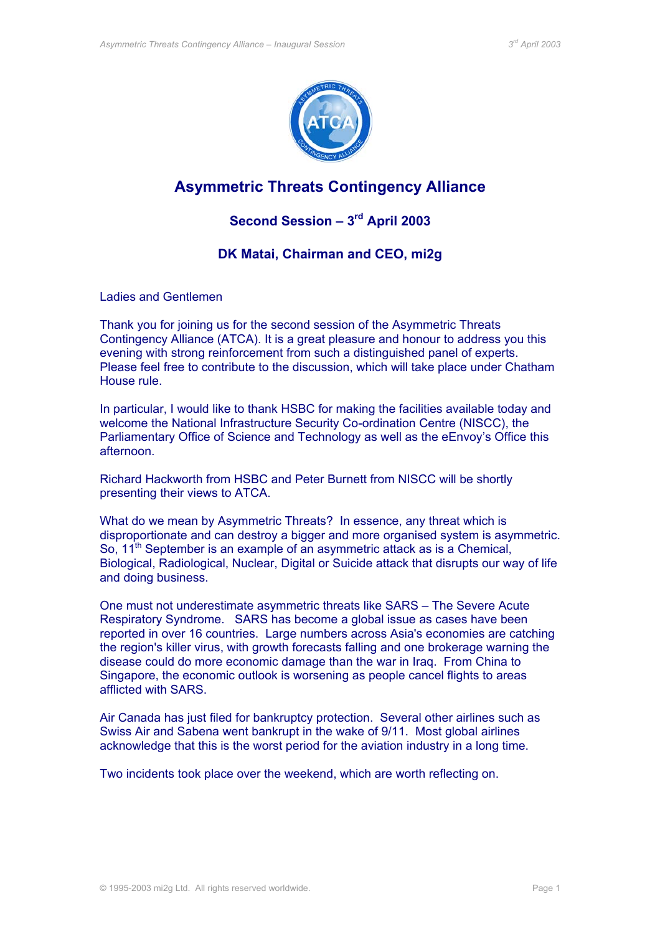

# **Asymmetric Threats Contingency Alliance**

## **Second Session – 3rd April 2003**

## **DK Matai, Chairman and CEO, mi2g**

Ladies and Gentlemen

Thank you for joining us for the second session of the Asymmetric Threats Contingency Alliance (ATCA). It is a great pleasure and honour to address you this evening with strong reinforcement from such a distinguished panel of experts. Please feel free to contribute to the discussion, which will take place under Chatham House rule.

In particular, I would like to thank HSBC for making the facilities available today and welcome the National Infrastructure Security Co-ordination Centre (NISCC), the Parliamentary Office of Science and Technology as well as the eEnvoy's Office this afternoon.

Richard Hackworth from HSBC and Peter Burnett from NISCC will be shortly presenting their views to ATCA.

What do we mean by Asymmetric Threats? In essence, any threat which is disproportionate and can destroy a bigger and more organised system is asymmetric. So, 11<sup>th</sup> September is an example of an asymmetric attack as is a Chemical, Biological, Radiological, Nuclear, Digital or Suicide attack that disrupts our way of life and doing business.

One must not underestimate asymmetric threats like SARS – The Severe Acute Respiratory Syndrome. SARS has become a global issue as cases have been reported in over 16 countries. Large numbers across Asia's economies are catching the region's killer virus, with growth forecasts falling and one brokerage warning the disease could do more economic damage than the war in Iraq. From China to Singapore, the economic outlook is worsening as people cancel flights to areas afflicted with SARS.

Air Canada has just filed for bankruptcy protection. Several other airlines such as Swiss Air and Sabena went bankrupt in the wake of 9/11. Most global airlines acknowledge that this is the worst period for the aviation industry in a long time.

Two incidents took place over the weekend, which are worth reflecting on.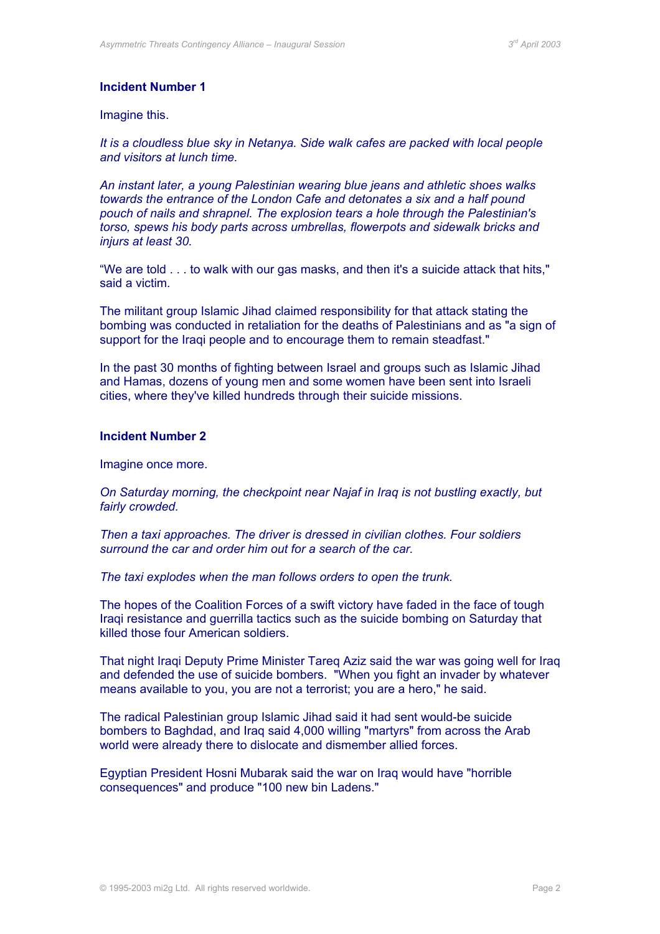## **Incident Number 1**

#### Imagine this.

*It is a cloudless blue sky in Netanya. Side walk cafes are packed with local people and visitors at lunch time.* 

*An instant later, a young Palestinian wearing blue jeans and athletic shoes walks towards the entrance of the London Cafe and detonates a six and a half pound pouch of nails and shrapnel. The explosion tears a hole through the Palestinian's torso, spews his body parts across umbrellas, flowerpots and sidewalk bricks and injurs at least 30.* 

"We are told . . . to walk with our gas masks, and then it's a suicide attack that hits," said a victim.

The militant group Islamic Jihad claimed responsibility for that attack stating the bombing was conducted in retaliation for the deaths of Palestinians and as "a sign of support for the Iraqi people and to encourage them to remain steadfast."

In the past 30 months of fighting between Israel and groups such as Islamic Jihad and Hamas, dozens of young men and some women have been sent into Israeli cities, where they've killed hundreds through their suicide missions.

### **Incident Number 2**

#### Imagine once more.

*On Saturday morning, the checkpoint near Najaf in Iraq is not bustling exactly, but fairly crowded.* 

*Then a taxi approaches. The driver is dressed in civilian clothes. Four soldiers surround the car and order him out for a search of the car.* 

*The taxi explodes when the man follows orders to open the trunk.*

The hopes of the Coalition Forces of a swift victory have faded in the face of tough Iraqi resistance and guerrilla tactics such as the suicide bombing on Saturday that killed those four American soldiers.

That night Iraqi Deputy Prime Minister Tareq Aziz said the war was going well for Iraq and defended the use of suicide bombers. "When you fight an invader by whatever means available to you, you are not a terrorist; you are a hero," he said.

The radical Palestinian group Islamic Jihad said it had sent would-be suicide bombers to Baghdad, and Iraq said 4,000 willing "martyrs" from across the Arab world were already there to dislocate and dismember allied forces.

Egyptian President Hosni Mubarak said the war on Iraq would have "horrible consequences" and produce "100 new bin Ladens."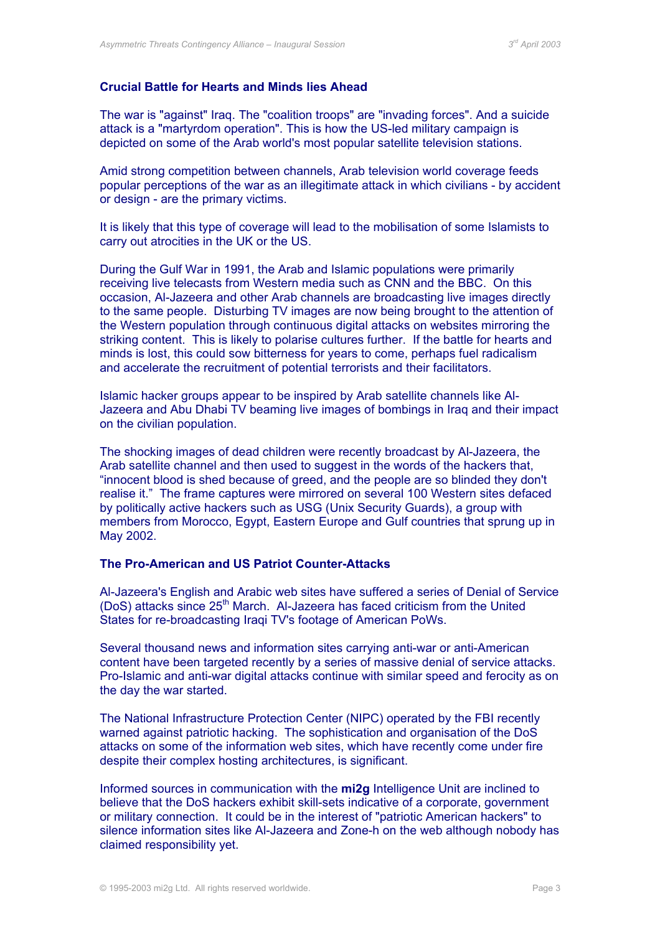## **Crucial Battle for Hearts and Minds lies Ahead**

The war is "against" Iraq. The "coalition troops" are "invading forces". And a suicide attack is a "martyrdom operation". This is how the US-led military campaign is depicted on some of the Arab world's most popular satellite television stations.

Amid strong competition between channels, Arab television world coverage feeds popular perceptions of the war as an illegitimate attack in which civilians - by accident or design - are the primary victims.

It is likely that this type of coverage will lead to the mobilisation of some Islamists to carry out atrocities in the UK or the US.

During the Gulf War in 1991, the Arab and Islamic populations were primarily receiving live telecasts from Western media such as CNN and the BBC. On this occasion, Al-Jazeera and other Arab channels are broadcasting live images directly to the same people. Disturbing TV images are now being brought to the attention of the Western population through continuous digital attacks on websites mirroring the striking content. This is likely to polarise cultures further. If the battle for hearts and minds is lost, this could sow bitterness for years to come, perhaps fuel radicalism and accelerate the recruitment of potential terrorists and their facilitators.

Islamic hacker groups appear to be inspired by Arab satellite channels like Al-Jazeera and Abu Dhabi TV beaming live images of bombings in Iraq and their impact on the civilian population.

The shocking images of dead children were recently broadcast by Al-Jazeera, the Arab satellite channel and then used to suggest in the words of the hackers that, "innocent blood is shed because of greed, and the people are so blinded they don't realise it." The frame captures were mirrored on several 100 Western sites defaced by politically active hackers such as USG (Unix Security Guards), a group with members from Morocco, Egypt, Eastern Europe and Gulf countries that sprung up in May 2002.

## **The Pro-American and US Patriot Counter-Attacks**

Al-Jazeera's English and Arabic web sites have suffered a series of Denial of Service (DoS) attacks since  $25<sup>th</sup>$  March. Al-Jazeera has faced criticism from the United States for re-broadcasting Iraqi TV's footage of American PoWs.

Several thousand news and information sites carrying anti-war or anti-American content have been targeted recently by a series of massive denial of service attacks. Pro-Islamic and anti-war digital attacks continue with similar speed and ferocity as on the day the war started.

The National Infrastructure Protection Center (NIPC) operated by the FBI recently warned against patriotic hacking. The sophistication and organisation of the DoS attacks on some of the information web sites, which have recently come under fire despite their complex hosting architectures, is significant.

Informed sources in communication with the **mi2g** Intelligence Unit are inclined to believe that the DoS hackers exhibit skill-sets indicative of a corporate, government or military connection. It could be in the interest of "patriotic American hackers" to silence information sites like Al-Jazeera and Zone-h on the web although nobody has claimed responsibility yet.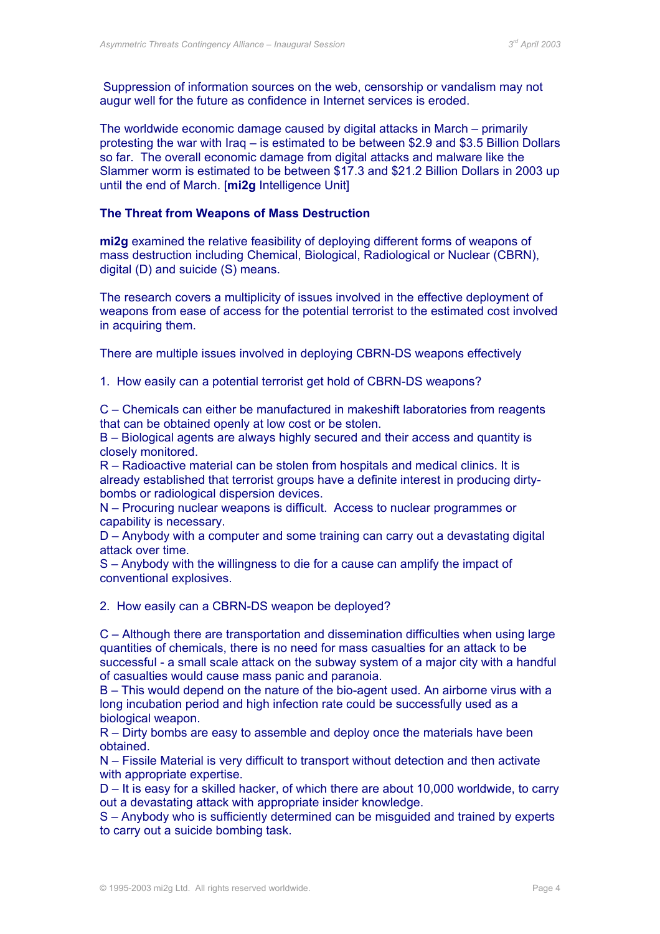Suppression of information sources on the web, censorship or vandalism may not augur well for the future as confidence in Internet services is eroded.

The worldwide economic damage caused by digital attacks in March – primarily protesting the war with Iraq – is estimated to be between \$2.9 and \$3.5 Billion Dollars so far. The overall economic damage from digital attacks and malware like the Slammer worm is estimated to be between \$17.3 and \$21.2 Billion Dollars in 2003 up until the end of March. [**mi2g** Intelligence Unit]

#### **The Threat from Weapons of Mass Destruction**

**mi2g** examined the relative feasibility of deploying different forms of weapons of mass destruction including Chemical, Biological, Radiological or Nuclear (CBRN), digital (D) and suicide (S) means.

The research covers a multiplicity of issues involved in the effective deployment of weapons from ease of access for the potential terrorist to the estimated cost involved in acquiring them.

There are multiple issues involved in deploying CBRN-DS weapons effectively

1. How easily can a potential terrorist get hold of CBRN-DS weapons?

C – Chemicals can either be manufactured in makeshift laboratories from reagents that can be obtained openly at low cost or be stolen.

B – Biological agents are always highly secured and their access and quantity is closely monitored.

R – Radioactive material can be stolen from hospitals and medical clinics. It is already established that terrorist groups have a definite interest in producing dirtybombs or radiological dispersion devices.

N – Procuring nuclear weapons is difficult. Access to nuclear programmes or capability is necessary.

D – Anybody with a computer and some training can carry out a devastating digital attack over time.

S – Anybody with the willingness to die for a cause can amplify the impact of conventional explosives.

2. How easily can a CBRN-DS weapon be deployed?

C – Although there are transportation and dissemination difficulties when using large quantities of chemicals, there is no need for mass casualties for an attack to be successful - a small scale attack on the subway system of a major city with a handful of casualties would cause mass panic and paranoia.

B – This would depend on the nature of the bio-agent used. An airborne virus with a long incubation period and high infection rate could be successfully used as a biological weapon.

R – Dirty bombs are easy to assemble and deploy once the materials have been obtained.

N – Fissile Material is very difficult to transport without detection and then activate with appropriate expertise.

D – It is easy for a skilled hacker, of which there are about 10,000 worldwide, to carry out a devastating attack with appropriate insider knowledge.

S – Anybody who is sufficiently determined can be misguided and trained by experts to carry out a suicide bombing task.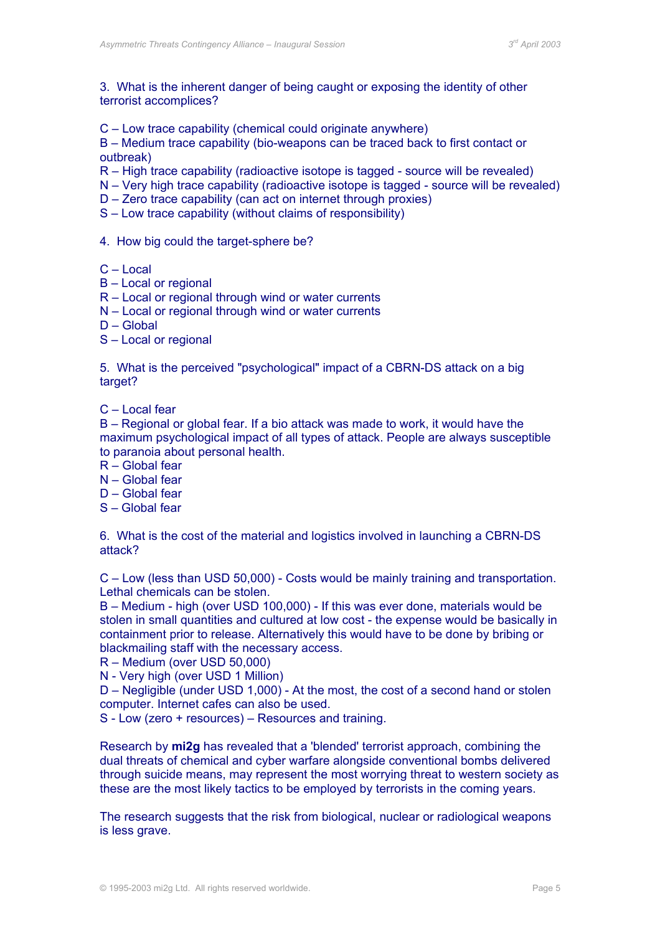3. What is the inherent danger of being caught or exposing the identity of other terrorist accomplices?

C – Low trace capability (chemical could originate anywhere)

B – Medium trace capability (bio-weapons can be traced back to first contact or outbreak)

R – High trace capability (radioactive isotope is tagged - source will be revealed)

- N Very high trace capability (radioactive isotope is tagged source will be revealed)
- D Zero trace capability (can act on internet through proxies)
- S Low trace capability (without claims of responsibility)
- 4. How big could the target-sphere be?
- C Local
- B Local or regional
- R Local or regional through wind or water currents
- N Local or regional through wind or water currents
- $D -$ Global
- S Local or regional

5. What is the perceived "psychological" impact of a CBRN-DS attack on a big target?

C – Local fear

B – Regional or global fear. If a bio attack was made to work, it would have the maximum psychological impact of all types of attack. People are always susceptible to paranoia about personal health.

- R Global fear
- N Global fear
- D Global fear
- S Global fear

6. What is the cost of the material and logistics involved in launching a CBRN-DS attack?

C – Low (less than USD 50,000) - Costs would be mainly training and transportation. Lethal chemicals can be stolen.

B – Medium - high (over USD 100,000) - If this was ever done, materials would be stolen in small quantities and cultured at low cost - the expense would be basically in containment prior to release. Alternatively this would have to be done by bribing or blackmailing staff with the necessary access.

R – Medium (over USD 50,000)

N - Very high (over USD 1 Million)

D – Negligible (under USD 1,000) - At the most, the cost of a second hand or stolen computer. Internet cafes can also be used.

S - Low (zero + resources) – Resources and training.

Research by **mi2g** has revealed that a 'blended' terrorist approach, combining the dual threats of chemical and cyber warfare alongside conventional bombs delivered through suicide means, may represent the most worrying threat to western society as these are the most likely tactics to be employed by terrorists in the coming years.

The research suggests that the risk from biological, nuclear or radiological weapons is less grave.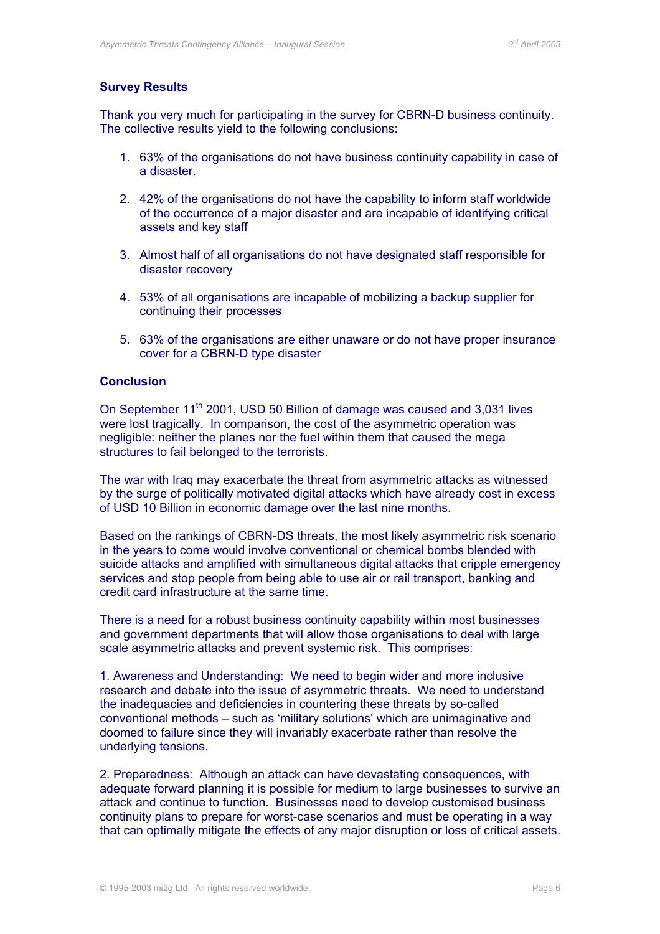## **Survey Results**

Thank you very much for participating in the survey for CBRN-D business continuity. The collective results yield to the following conclusions:

- 1. 63% of the organisations do not have business continuity capability in case of a disaster.
- 2. 42% of the organisations do not have the capability to inform staff worldwide of the occurrence of a major disaster and are incapable of identifying critical assets and key staff
- 3. Almost half of all organisations do not have designated staff responsible for disaster recovery
- 4. 53% of all organisations are incapable of mobilizing a backup supplier for continuing their processes
- 5. 63% of the organisations are either unaware or do not have proper insurance cover for a CBRN-D type disaster

## **Conclusion**

On September 11<sup>th</sup> 2001, USD 50 Billion of damage was caused and 3,031 lives were lost tragically. In comparison, the cost of the asymmetric operation was negligible: neither the planes nor the fuel within them that caused the mega structures to fail belonged to the terrorists.

The war with Iraq may exacerbate the threat from asymmetric attacks as witnessed by the surge of politically motivated digital attacks which have already cost in excess of USD 10 Billion in economic damage over the last nine months.

Based on the rankings of CBRN-DS threats, the most likely asymmetric risk scenario in the years to come would involve conventional or chemical bombs blended with suicide attacks and amplified with simultaneous digital attacks that cripple emergency services and stop people from being able to use air or rail transport, banking and credit card infrastructure at the same time.

There is a need for a robust business continuity capability within most businesses and government departments that will allow those organisations to deal with large scale asymmetric attacks and prevent systemic risk. This comprises:

1. Awareness and Understanding: We need to begin wider and more inclusive research and debate into the issue of asymmetric threats. We need to understand the inadequacies and deficiencies in countering these threats by so-called conventional methods – such as 'military solutions' which are unimaginative and doomed to failure since they will invariably exacerbate rather than resolve the underlying tensions.

2. Preparedness: Although an attack can have devastating consequences, with adequate forward planning it is possible for medium to large businesses to survive an attack and continue to function. Businesses need to develop customised business continuity plans to prepare for worst-case scenarios and must be operating in a way that can optimally mitigate the effects of any major disruption or loss of critical assets.